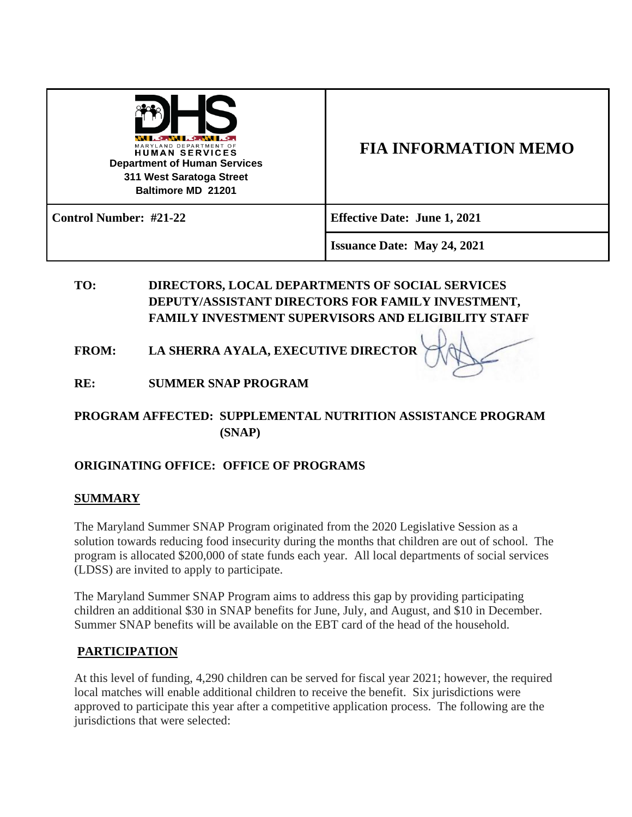

# **FIA INFORMATION MEMO**

**Control Number: #21-22 Effective Date: June 1, 2021**

**Issuance Date: May 24, 2021**

## **TO: DIRECTORS, LOCAL DEPARTMENTS OF SOCIAL SERVICES DEPUTY/ASSISTANT DIRECTORS FOR FAMILY INVESTMENT, FAMILY INVESTMENT SUPERVISORS AND ELIGIBILITY STAFF**

**FROM: LA SHERRA AYALA, EXECUTIVE DIRECTOR** 

**RE: SUMMER SNAP PROGRAM**

### **PROGRAM AFFECTED: SUPPLEMENTAL NUTRITION ASSISTANCE PROGRAM (SNAP)**

## **ORIGINATING OFFICE: OFFICE OF PROGRAMS**

#### **SUMMARY**

The Maryland Summer SNAP Program originated from the 2020 Legislative Session as a solution towards reducing food insecurity during the months that children are out of school. The program is allocated \$200,000 of state funds each year. All local departments of social services (LDSS) are invited to apply to participate.

The Maryland Summer SNAP Program aims to address this gap by providing participating children an additional \$30 in SNAP benefits for June, July, and August, and \$10 in December. Summer SNAP benefits will be available on the EBT card of the head of the household.

#### **PARTICIPATION**

At this level of funding, 4,290 children can be served for fiscal year 2021; however, the required local matches will enable additional children to receive the benefit. Six jurisdictions were approved to participate this year after a competitive application process. The following are the jurisdictions that were selected: